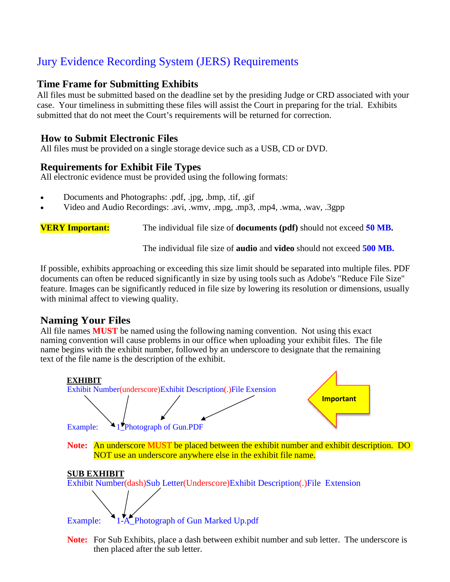## Jury Evidence Recording System (JERS) Requirements

#### **Time Frame for Submitting Exhibits**

All files must be submitted based on the deadline set by the presiding Judge or CRD associated with your case. Your timeliness in submitting these files will assist the Court in preparing for the trial. Exhibits submitted that do not meet the Court's requirements will be returned for correction.

#### **How to Submit Electronic Files**

All files must be provided on a single storage device such as a USB, CD or DVD.

#### **Requirements for Exhibit File Types**

All electronic evidence must be provided using the following formats:

- Documents and Photographs: .pdf, .jpg, .bmp, .tif, .gif
- Video and Audio Recordings: .avi, .wmv, .mpg, .mp3, .mp4, .wma, .wav, .3gpp

**VERY Important:** The individual file size of **documents (pdf)** should not exceed **50 MB.**

The individual file size of **audio** and **video** should not exceed **500 MB.**

If possible, exhibits approaching or exceeding this size limit should be separated into multiple files. PDF documents can often be reduced significantly in size by using tools such as Adobe's "Reduce File Size" feature. Images can be significantly reduced in file size by lowering its resolution or dimensions, usually with minimal affect to viewing quality.

### **Naming Your Files**

All file names **MUST** be named using the following naming convention. Not using this exact naming convention will cause problems in our office when uploading your exhibit files. The file name begins with the exhibit number, followed by an underscore to designate that the remaining text of the file name is the description of the exhibit.



**Note:** For Sub Exhibits, place a dash between exhibit number and sub letter. The underscore is then placed after the sub letter.